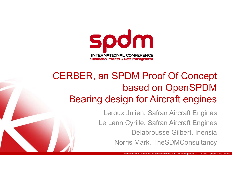

## CERBER, an SPDM Proof Of Concept based on OpenSPDM Bearing design for Aircraft engines

Leroux Julien, Safran Aircraft Engines Le Lann Cyrille, Safran Aircraft Engines Delabrousse Gilbert, Inensia Norris Mark, TheSDMConsultancy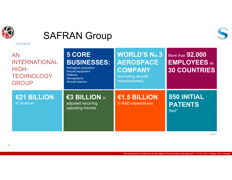

#### SAFRAN Group



| <b>AN</b><br><b>INTERNATIONAL</b><br><b>HIGH-</b><br><b>TECHNOLOGY</b><br><b>GROUP</b> | <b>5 CORE</b><br><b>BUSINESSES:</b><br>Aerospace propulsion<br>Aircraft equipment<br><b>Defense</b><br>Aerosystems<br><b>Aircraft interiors</b> | <b>WORLD'S No.3</b><br><b>AEROSPACE</b><br>COMPANY<br>(excluding aircraft<br>manufacturers) | More than <b>92,000</b><br><b>EMPLOYEES in</b><br><b>30 COUNTRIES</b> |
|----------------------------------------------------------------------------------------|-------------------------------------------------------------------------------------------------------------------------------------------------|---------------------------------------------------------------------------------------------|-----------------------------------------------------------------------|
| €21 BILLION<br>in revenue                                                              | €3 BILLION in<br>adjusted recurring<br>operating income                                                                                         | €1.5 BILLION<br>in R&D expenditures                                                         | <b>850 INITIAL</b><br><b>PATENTS</b><br>filed*                        |

\*in 2017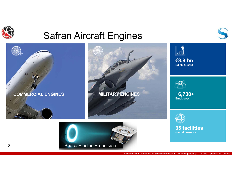

#### Safran Aircraft Engines









4th International Conference on Simulation Process & Data Management | 17-20 June | Quebec City | Canada

Global presence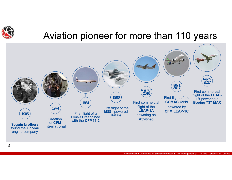

#### Aviation pioneer for more than 110 years

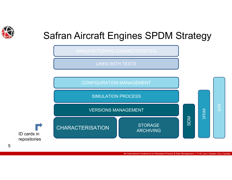

# Safran Aircraft Engines SPDM Strategy

LINKS WITH TESTS



4th International Conference on Simulation Process & Data Management | 17-20 June | Quebec City | Canada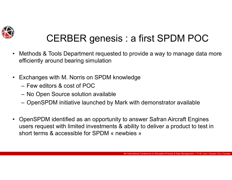

# CERBER genesis : a first SPDM POC

- • Methods & Tools Department requested to provide a way to manage data more efficiently around bearing simulation
- • Exchanges with M. Norris on SPDM knowledge
	- Few editors & cost of POC
	- –No Open Source solution available
	- –OpenSPDM initiative launched by Mark with demonstrator available
- • OpenSPDM identified as an opportunity to answer Safran Aircraft Engines users request with limited investments & ability to deliver a product to test in short terms & accessible for SPDM « newbies »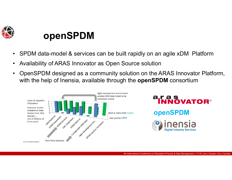

#### **openSPDM**

- $\bullet$ SPDM data-model & services can be built rapidly on an agile xDM Platform
- •Availability of ARAS Innovator as Open Source solution
- • OpenSPDM designed as a community solution on the ARAS Innovator Platform, with the help of Inensia, available through the **openSPDM** consortium

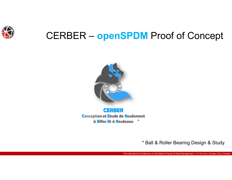

### CERBER – **openSPDM** Proof of Concept



**CERBER Conception et Etude de Roulement** à Billes Et à Rouleaux \*

\* Ball & Roller Bearing Design & Study

4th International Conference on Simulation Process & Data Management | 17-20 June | Quebec City | Canada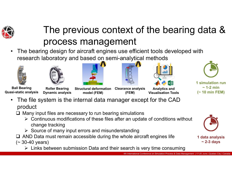

# The previous context of the bearing data & process management

• The bearing design for aircraft engines use efficient tools developed with research laboratory and based on semi-analytical methods













**1 simulation run~ 1-2 min (~ 10 min FEM)** 

**Ball Bearing Quasi-static analysis**

•

**Roller Bearing Dynamic analysis**

**Structural deformation model (FEM)**

**Clearance analysis (FEM) Analytics and Visualisation Tools**

- The file system is the internal data manager except for the CAD product
	- $\Box$  Many input files are necessary to run bearing simulations
		- $\triangleright$  Continuous modifications of these files after an update of conditions without change tracking
		- $\triangleright$  Source of many input errors and misunderstanding
	- $\Box$  AND Data must remain accessible during the whole aircraft engines life
- $($   $\sim$  30-40 years)
	- Links between submission Data and their search is very time consuming

4th International Conference on Simulation Process & Data Management | 17-20 June | Quebec City | Canada



**1 data analysis ~ 2-3 days**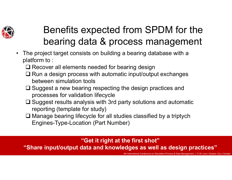

# Benefits expected from SPDM for the bearing data & process management

- • The project target consists on building a bearing database with a platform to :
	- **□ Recover all elements needed for bearing design**
	- $\Box$  Run a design process with automatic input/output exchanges between simulation tools
	- $\square$  Suggest a new bearing respecting the design practices and processes for validation lifecycle
	- $\Box$  Suggest results analysis with 3rd party solutions and automatic reporting (template for study)
	- Manage bearing lifecycle for all studies classified by a triptych Engines-Type-Location (Part Number)

#### **"Get it right at the first shot"**

**"Share input/output data and knowledges as well as design practices"**

Conference on Simulation Process & Data Management | 17-20 June | Quebec City |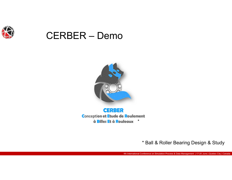

#### CERBER – Demo



**CERBER Conception et Etude de Roulement** à **Billes Et à Rouleaux** \*

\* Ball & Roller Bearing Design & Study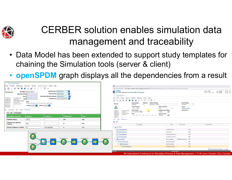

# CERBER solution enables simulation data management and traceability

- Data Model has been extended to support study templates for chaining the Simulation tools (server & client)
- **openSPDM** graph displays all the dependencies from a result

| <b>室 GEO0000000028</b>                                                                                                                                                                                                                                                                                                                                        |                                                                                                                                                                                                                           |                |               |               |                                                                                                                                                                                                                                                                                                                                                                                                                                                                                                                                                         |                  |  |  |  |
|---------------------------------------------------------------------------------------------------------------------------------------------------------------------------------------------------------------------------------------------------------------------------------------------------------------------------------------------------------------|---------------------------------------------------------------------------------------------------------------------------------------------------------------------------------------------------------------------------|----------------|---------------|---------------|---------------------------------------------------------------------------------------------------------------------------------------------------------------------------------------------------------------------------------------------------------------------------------------------------------------------------------------------------------------------------------------------------------------------------------------------------------------------------------------------------------------------------------------------------------|------------------|--|--|--|
| Fichier Modifier Affichages Chercher Actions Compte-Rendu Outils Aide                                                                                                                                                                                                                                                                                         |                                                                                                                                                                                                                           |                |               |               | Aras Innovator - Google Chrome                                                                                                                                                                                                                                                                                                                                                                                                                                                                                                                          |                  |  |  |  |
| 中国民の豊国画面自合うに自? マ                                                                                                                                                                                                                                                                                                                                              |                                                                                                                                                                                                                           |                |               |               | 4) Non sécurisé   sae-integ1.westeurope.cloudapp.azure.com/OSPDMtest/Client/X-salt=std_11.0.0.6920-X/scripts/Innovator.aspx                                                                                                                                                                                                                                                                                                                                                                                                                             |                  |  |  |  |
| Matériaux BE: DMD00000032<br>$\cdots$<br>Identifiant GEO0000000028<br>Roulement<br>Matériaux BI: DMD00000032<br>Fabricant (S/N) OK<br>Matériaux éléments roulants: DMD00000032<br>Nom OK<br>Created By:<br>Innovator Admin<br>Proprietaire Gibert DELABROUSSE<br>$P/N$ OK<br>01/10/2018<br>Created On:<br>Gilbert DELABROUSSE<br>Modified By:<br><b>Jalon</b> |                                                                                                                                                                                                                           |                |               |               | CERBER<br>Conception et Etude de Roulement à Billes Et à Rouleaux<br>$1:32^{m}$ $8^{m}$<br>LOCAL TIME<br>Sunday, June 9, 2019<br>$\equiv$ $\Lambda$ E0000048<br>File Edit Views Search Actions Reports Tools Help                                                                                                                                                                                                                                                                                                                                       |                  |  |  |  |
| Modified On:<br>13/11/2018<br>Locked By:<br>Innovator Admin<br>Major Rev:<br>Generation:<br>Processus URL Graph<br>File<br>BI BE Assemblage                                                                                                                                                                                                                   | $\circledcirc$ S2 $\circledcirc$ S3 $\circledcirc$ S4 $\circledcirc$ S5 $\circledcirc$ S6 $\circledcirc$ S7 $\circledcirc$ S8 $\circledcirc$ S9<br><b>Position</b> Palier 3 <b>v</b> Moteur DJANGO <b>v</b><br>Properties |                |               |               | Date Of Study<br><b>Objects Of Study</b><br><b>Ident Number</b><br><b>Revision</b><br>Study<br>A<br>essai_05_02_19_FEA<br>4/12/2019<br>E0000048<br><b>Type Of Bearing</b><br><b>Select Tool Base</b><br>Owner<br>$\Lambda$<br>Ball Roller<br>FEA<br><b>Innovator Admin</b><br>Type of study<br>Derived from<br><b>Position (Num Palier)</b><br>$\mathbb{Z}$<br>Innovator Admin<br>Created By:<br>CAD certification st<br>4/12/2019<br>Palier 2<br>Created On:<br>Modified By:<br>Innovator Admin<br><b>Type of Project</b><br>Modified On:<br>4/12/2019 |                  |  |  |  |
| <b>Assemblage Properties</b>                                                                                                                                                                                                                                                                                                                                  | <b>Nominal</b>                                                                                                                                                                                                            | Tolerance      | Abbreviation  | $_$ Unit      | S2 S3 S4 S5 S6 S7 S8 S9<br><b>DJANGO</b><br>Locked By:<br>Maior Rev:                                                                                                                                                                                                                                                                                                                                                                                                                                                                                    |                  |  |  |  |
| <b>Diamètre Moyen</b>                                                                                                                                                                                                                                                                                                                                         | 124.3                                                                                                                                                                                                                     |                | Dm            | mm            | File Item Study Tree                                                                                                                                                                                                                                                                                                                                                                                                                                                                                                                                    |                  |  |  |  |
| Diamètre des elements                                                                                                                                                                                                                                                                                                                                         |                                                                                                                                                                                                                           |                |               |               | $G$ $\overline{X}$                                                                                                                                                                                                                                                                                                                                                                                                                                                                                                                                      |                  |  |  |  |
| roulants                                                                                                                                                                                                                                                                                                                                                      | 18.3                                                                                                                                                                                                                      |                | $\mathbf d$   | mm            | S1 StudyTree<br>Type<br>Cond. Fonct.                                                                                                                                                                                                                                                                                                                                                                                                                                                                                                                    | Current State    |  |  |  |
| Nombre d'éléments roulants                                                                                                                                                                                                                                                                                                                                    | 17                                                                                                                                                                                                                        | not applicable | z             | n/a           | 日 _ A E0000048                                                                                                                                                                                                                                                                                                                                                                                                                                                                                                                                          |                  |  |  |  |
|                                                                                                                                                                                                                                                                                                                                                               |                                                                                                                                                                                                                           |                |               |               | <b>テス CLM0000000098</b><br>Condition limite                                                                                                                                                                                                                                                                                                                                                                                                                                                                                                             | WIP              |  |  |  |
|                                                                                                                                                                                                                                                                                                                                                               | GEO0000000001                                                                                                                                                                                                             |                |               |               | <b>冗 GEO0000000134</b><br>Roulement                                                                                                                                                                                                                                                                                                                                                                                                                                                                                                                     | WIP              |  |  |  |
|                                                                                                                                                                                                                                                                                                                                                               |                                                                                                                                                                                                                           |                |               |               | 도 CTX0000000064<br>Assemblage pièces.                                                                                                                                                                                                                                                                                                                                                                                                                                                                                                                   | WIP              |  |  |  |
|                                                                                                                                                                                                                                                                                                                                                               |                                                                                                                                                                                                                           |                |               |               | 도 FCT0000000038<br>Condition de foncti.                                                                                                                                                                                                                                                                                                                                                                                                                                                                                                                 | WIP              |  |  |  |
|                                                                                                                                                                                                                                                                                                                                                               |                                                                                                                                                                                                                           | PRC00000       | RES0000000003 | RES0000000004 | RES0000000005<br>E PRC0000192<br>Stabilisé Normal Lvl  WIP<br>Pre-processing                                                                                                                                                                                                                                                                                                                                                                                                                                                                            |                  |  |  |  |
|                                                                                                                                                                                                                                                                                                                                                               |                                                                                                                                                                                                                           |                |               |               | 身<br>日 5 RES0000000210<br>Résultat/Résultat                                                                                                                                                                                                                                                                                                                                                                                                                                                                                                             | WIP              |  |  |  |
|                                                                                                                                                                                                                                                                                                                                                               | FCT0000000002                                                                                                                                                                                                             |                |               |               | E- 2 PRC0000193<br>Post-processing                                                                                                                                                                                                                                                                                                                                                                                                                                                                                                                      | WIP              |  |  |  |
|                                                                                                                                                                                                                                                                                                                                                               |                                                                                                                                                                                                                           |                |               |               | 只 RES0000000211<br>Résultat/Résultat                                                                                                                                                                                                                                                                                                                                                                                                                                                                                                                    | WIP              |  |  |  |
|                                                                                                                                                                                                                                                                                                                                                               | 【昆                                                                                                                                                                                                                        |                |               |               |                                                                                                                                                                                                                                                                                                                                                                                                                                                                                                                                                         | Screenpresso.com |  |  |  |
|                                                                                                                                                                                                                                                                                                                                                               |                                                                                                                                                                                                                           |                |               |               | <b>Ready</b><br>0 Theme found                                                                                                                                                                                                                                                                                                                                                                                                                                                                                                                           |                  |  |  |  |
|                                                                                                                                                                                                                                                                                                                                                               |                                                                                                                                                                                                                           |                |               |               | 4th International Conference on Simulation Process & Data Management   17-20 June   Quebec City   Canada                                                                                                                                                                                                                                                                                                                                                                                                                                                |                  |  |  |  |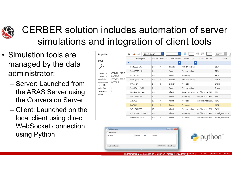

## CERBER solution includes automation of server simulations and integration of client tools

- Simulation tools are managed by the data administrator:
	- Server: Launched from the ARAS Server using the Conversion Server
	- Client: Launched on the local client using direct WebSocket connection using Python

| Properties                |                        | ਲ                        | ж<br>Simple Search            |              |                | ▼           |                 | tΞ<br>钜             | Current          |
|---------------------------|------------------------|--------------------------|-------------------------------|--------------|----------------|-------------|-----------------|---------------------|------------------|
| Tool                      |                        |                          | Description                   | Version      | Sequence       | Launch Mode | Process Type    | Client Tool URL     | $\text{Total}$   |
|                           |                        | $\overline{\phantom{a}}$ |                               |              |                |             | ▼               |                     |                  |
|                           |                        |                          | PostBB20 1.01                 | 1.01         | 3              | Manual      | Post-processing |                     | <b>BB20</b>      |
| Created By:               | <b>Innovator Admin</b> |                          | InputBB20 1.01                | 1.01         |                | Server      | Pre-processing  |                     | <b>BB20</b>      |
| Created On:               | 2/5/2019               |                          | BB20 1.01                     | 1.01         | 2              | Server      | Processing      |                     | <b>BB20</b>      |
| Aodified Bv:              | Innovator Admin        |                          | PostDynar 1.01                | 1.01         | 3              | Manual      | Post-processing |                     | Dynar            |
| 1odified On:<br>ocked By: | 6/9/2019               |                          | Dynar 1.01                    | 1.01         | 2              | Server      | Processing      |                     | Dynar            |
| <b>Aaior Rev:</b>         | Α                      |                          | InputDynar 1.01               | 1.01         |                | Server      | Pre-processing  |                     | Dynar            |
| Generation:<br>state:     |                        |                          | FEA-Post-Process              | 1.0          | 2              | Client      | Post-processing | ws://localhost:8901 | <b>FEA</b>       |
|                           |                        |                          | WB / SAMCEF                   | 19           |                | Client      | Processing      | ws://localhost:8901 | <b>FEA</b>       |
|                           |                        |                          | ANSYS2                        | 19           | 3              | Client      | Processing      | ws://localhost:8901 | FEA2             |
|                           |                        |                          | <b>SAMCEF</b>                 | $\mathbf{1}$ | $\overline{2}$ | Server      | Processing      |                     | FEA <sub>2</sub> |
|                           |                        |                          | WB / SAMCEF                   | 19           |                | Client      | Pre-processing  | ws://localhost:8901 | SAVE             |
|                           |                        |                          | Calcul Puissance Dissipee 1.0 |              | 1              | Client      | Processing      | ws://localhost:8901 | calcul puissance |
|                           |                        |                          | Estimation du Jeu             | 1.0          | 2              | Client      | Processing      | ws://localhost:8901 | calcul puissance |
|                           |                        |                          |                               |              |                |             |                 |                     |                  |

| File Name | File Type | Size | Location |  |
|-----------|-----------|------|----------|--|
|           |           |      |          |  |



4th International Conference on Simulation Process & Data Management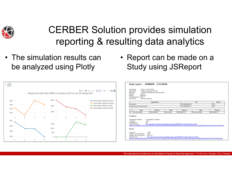

#### CERBER Solution provides simulation reporting & resulting data analytics

• The simulation results can be analyzed using Plotly



| • Report can be made on a   |
|-----------------------------|
| <b>Study using JSReport</b> |

| Date Etude:<br>Type Etude:<br>Objectifs:<br>Position:                            | 2018-11-10T19:50:06<br>Palier <sub>2</sub> | Etude de certification CAD<br>Evaluer des limites de fonctionnement                                                  |            |                       |                                                                                                                           |                |
|----------------------------------------------------------------------------------|--------------------------------------------|----------------------------------------------------------------------------------------------------------------------|------------|-----------------------|---------------------------------------------------------------------------------------------------------------------------|----------------|
| Moteur:                                                                          | <b>DJANGO</b>                              |                                                                                                                      |            |                       |                                                                                                                           |                |
|                                                                                  | Type Roulement: Value 2                    |                                                                                                                      |            |                       |                                                                                                                           |                |
| Tool Chain:                                                                      | PuissanceDissipee                          |                                                                                                                      |            |                       |                                                                                                                           |                |
|                                                                                  |                                            | <b>Input Items</b>                                                                                                   |            |                       | ID                                                                                                                        | <b>Status</b>  |
| Roulement                                                                        |                                            |                                                                                                                      |            | <b>KIEO0000000028</b> |                                                                                                                           | WIP            |
|                                                                                  | Condition de fonctionnement                |                                                                                                                      |            | FCT0000000174         |                                                                                                                           | WIP            |
|                                                                                  |                                            |                                                                                                                      |            |                       |                                                                                                                           |                |
| ٠                                                                                | Type                                       | <b>Process</b>                                                                                                       | Type       | <b>Process</b>        | Type                                                                                                                      | <b>Process</b> |
| $\equiv$ 1                                                                       | Pre-processing                             | PRC0000209                                                                                                           | Processing | PRC0000210            | Post-processing                                                                                                           | PRC0000211     |
|                                                                                  |                                            |                                                                                                                      |            |                       |                                                                                                                           |                |
| <b>Conditions:</b><br>-3-Sigma:<br>-Temperature:<br>-Parametres don:<br>Results: | -Operating Condition:<br>100               | Cartographie (4 lignes)<br>True<br>http://sae-integ1.westeurope.cloudapp.azure.com/OSPDMtest/vault/vaultserver.aspx? |            |                       | dbName=OSPDMtest&fileId=FF6D7D7F203A483FA8F9D49293D18BA9&fileName=parametres.don&vaultId=67BBB9204FE84A8981ED8313049BA06C |                |